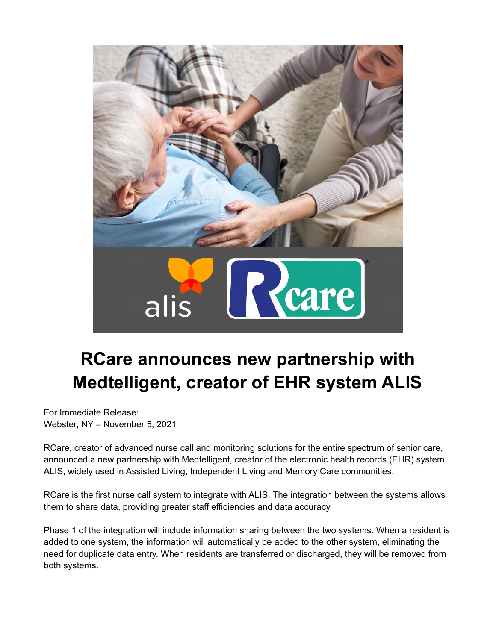

## **RCare announces new partnership with Medtelligent, creator of EHR system ALIS**

For Immediate Release: Webster, NY – November 5, 2021

RCare, creator of advanced nurse call and monitoring solutions for the entire spectrum of senior care, announced a new partnership with Medtelligent, creator of the electronic health records (EHR) system ALIS, widely used in Assisted Living, Independent Living and Memory Care communities.

RCare is the first nurse call system to integrate with ALIS. The integration between the systems allows them to share data, providing greater staff efficiencies and data accuracy.

Phase 1 of the integration will include information sharing between the two systems. When a resident is added to one system, the information will automatically be added to the other system, eliminating the need for duplicate data entry. When residents are transferred or discharged, they will be removed from both systems.